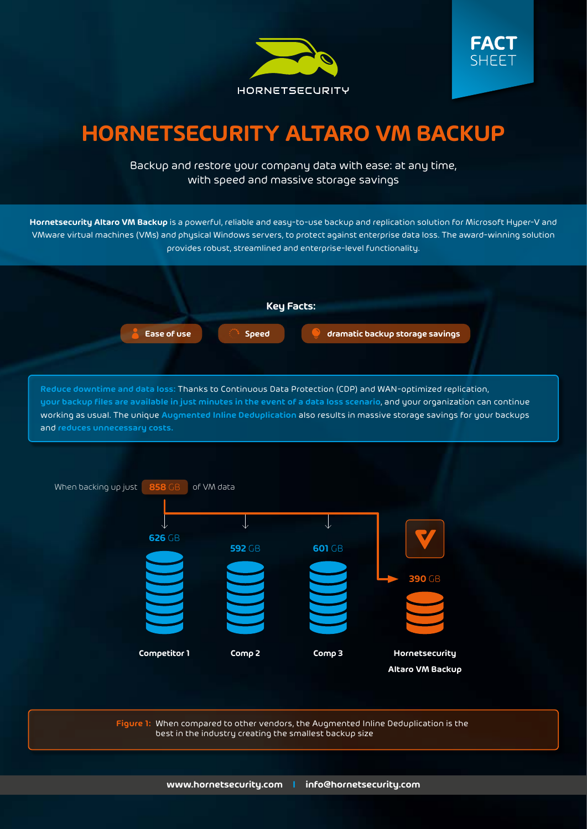



## **HORNETSECURITY ALTARO VM BACKUP**

Backup and restore your company data with ease: at any time, with speed and massive storage savings

**Hornetsecurity Altaro VM Backup** is a powerful, reliable and easy-to-use backup and replication solution for Microsoft Hyper-V and VMware virtual machines (VMs) and physical Windows servers, to protect against enterprise data loss. The award-winning solution provides robust, streamlined and enterprise-level functionality.



**Reduce downtime and data loss:** Thanks to Continuous Data Protection (CDP) and WAN-optimized replication, **your backup files are available in just minutes in the event of a data loss scenario**, and your organization can continue working as usual. The unique **Augmented Inline Deduplication** also results in massive storage savings for your backups and **reduces unnecessary costs.**



**Figure 1:** When compared to other vendors, the Augmented Inline Deduplication is the best in the industry creating the smallest backup size